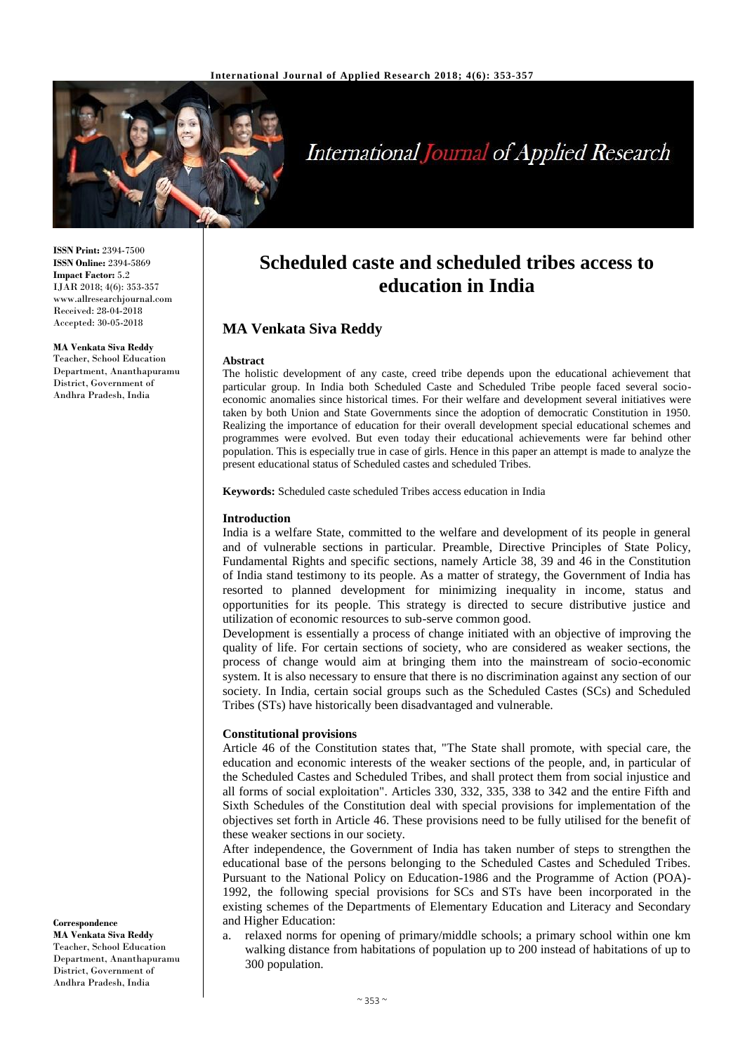

# International Journal of Applied Research

**ISSN Print:** 2394-7500 **ISSN Online:** 2394-5869 **Impact Factor:** 5.2 IJAR 2018; 4(6): 353-357 www.allresearchjournal.com Received: 28-04-2018 Accepted: 30-05-2018

**MA Venkata Siva Reddy** Teacher, School Education Department, Ananthapuramu District, Government of Andhra Pradesh, India

**Scheduled caste and scheduled tribes access to education in India**

## **MA Venkata Siva Reddy**

#### **Abstract**

The holistic development of any caste, creed tribe depends upon the educational achievement that particular group. In India both Scheduled Caste and Scheduled Tribe people faced several socioeconomic anomalies since historical times. For their welfare and development several initiatives were taken by both Union and State Governments since the adoption of democratic Constitution in 1950. Realizing the importance of education for their overall development special educational schemes and programmes were evolved. But even today their educational achievements were far behind other population. This is especially true in case of girls. Hence in this paper an attempt is made to analyze the present educational status of Scheduled castes and scheduled Tribes.

**Keywords:** Scheduled caste scheduled Tribes access education in India

#### **Introduction**

India is a welfare State, committed to the welfare and development of its people in general and of vulnerable sections in particular. Preamble, Directive Principles of State Policy, Fundamental Rights and specific sections, namely Article 38, 39 and 46 in the Constitution of India stand testimony to its people. As a matter of strategy, the Government of India has resorted to planned development for minimizing inequality in income, status and opportunities for its people. This strategy is directed to secure distributive justice and utilization of economic resources to sub-serve common good.

Development is essentially a process of change initiated with an objective of improving the quality of life. For certain sections of society, who are considered as weaker sections, the process of change would aim at bringing them into the mainstream of socio-economic system. It is also necessary to ensure that there is no discrimination against any section of our society. In India, certain social groups such as the Scheduled Castes (SCs) and Scheduled Tribes (STs) have historically been disadvantaged and vulnerable.

#### **Constitutional provisions**

Article 46 of the Constitution states that, "The State shall promote, with special care, the education and economic interests of the weaker sections of the people, and, in particular of the Scheduled Castes and Scheduled Tribes, and shall protect them from social injustice and all forms of social exploitation". Articles 330, 332, 335, 338 to 342 and the entire Fifth and Sixth Schedules of the Constitution deal with special provisions for implementation of the objectives set forth in Article 46. These provisions need to be fully utilised for the benefit of these weaker sections in our society.

After independence, the Government of India has taken number of steps to strengthen the educational base of the persons belonging to the Scheduled Castes and Scheduled Tribes. Pursuant to the National Policy on Education-1986 and the Programme of Action (POA)- 1992, the following special provisions for SCs and STs have been incorporated in the existing schemes of the Departments of Elementary Education and Literacy and Secondary and Higher Education:

a. relaxed norms for opening of primary/middle schools; a primary school within one km walking distance from habitations of population up to 200 instead of habitations of up to 300 population.

**Correspondence MA Venkata Siva Reddy** Teacher, School Education Department, Ananthapuramu District, Government of Andhra Pradesh, India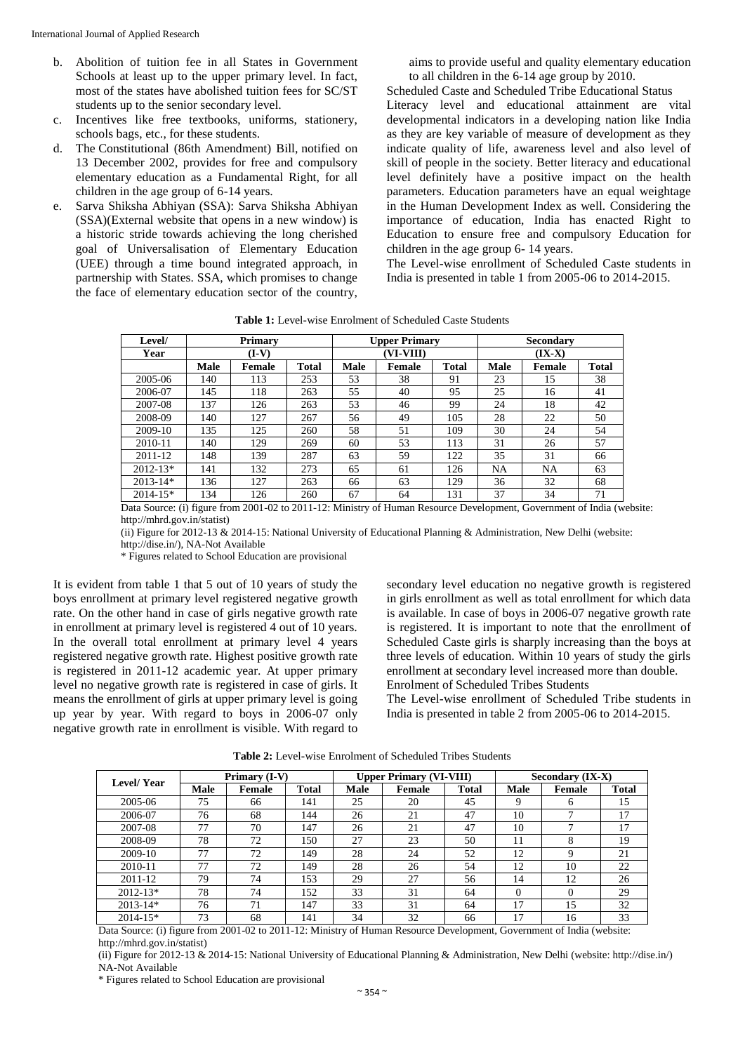- b. Abolition of tuition fee in all States in Government Schools at least up to the upper primary level. In fact, most of the states have abolished tuition fees for SC/ST students up to the senior secondary level.
- c. Incentives like free textbooks, uniforms, stationery, schools bags, etc., for these students.
- d. The Constitutional (86th Amendment) Bill, notified on 13 December 2002, provides for free and compulsory elementary education as a Fundamental Right, for all children in the age group of 6-14 years.
- e. Sarva Shiksha Abhiyan (SSA): Sarva Shiksha Abhiyan (SSA)(External website that opens in a new window) is a historic stride towards achieving the long cherished goal of Universalisation of Elementary Education (UEE) through a time bound integrated approach, in partnership with States. SSA, which promises to change the face of elementary education sector of the country,

aims to provide useful and quality elementary education to all children in the 6-14 age group by 2010.

Scheduled Caste and Scheduled Tribe Educational Status Literacy level and educational attainment are vital developmental indicators in a developing nation like India as they are key variable of measure of development as they indicate quality of life, awareness level and also level of skill of people in the society. Better literacy and educational level definitely have a positive impact on the health parameters. Education parameters have an equal weightage in the Human Development Index as well. Considering the importance of education, India has enacted Right to Education to ensure free and compulsory Education for children in the age group 6- 14 years.

The Level-wise enrollment of Scheduled Caste students in India is presented in table 1 from 2005-06 to 2014-2015.

| Level/       | <b>Primary</b> |        |              | <b>Upper Primary</b> |        |       | Secondary |           |              |
|--------------|----------------|--------|--------------|----------------------|--------|-------|-----------|-----------|--------------|
| Year         | $(I-V)$        |        |              | (VI-VIII)            |        |       | $(IX-X)$  |           |              |
|              | Male           | Female | <b>Total</b> | Male                 | Female | Total | Male      | Female    | <b>Total</b> |
| 2005-06      | 140            | 113    | 253          | 53                   | 38     | 91    | 23        | 15        | 38           |
| 2006-07      | 145            | 118    | 263          | 55                   | 40     | 95    | 25        | 16        | 41           |
| 2007-08      | 137            | 126    | 263          | 53                   | 46     | 99    | 24        | 18        | 42           |
| 2008-09      | 140            | 127    | 267          | 56                   | 49     | 105   | 28        | 22        | 50           |
| 2009-10      | 135            | 125    | 260          | 58                   | 51     | 109   | 30        | 24        | 54           |
| 2010-11      | 140            | 129    | 269          | 60                   | 53     | 113   | 31        | 26        | 57           |
| 2011-12      | 148            | 139    | 287          | 63                   | 59     | 122   | 35        | 31        | 66           |
| $2012 - 13*$ | 141            | 132    | 273          | 65                   | 61     | 126   | NA        | <b>NA</b> | 63           |
| $2013 - 14*$ | 136            | 127    | 263          | 66                   | 63     | 129   | 36        | 32        | 68           |
| $2014 - 15*$ | 134            | 126    | 260          | 67                   | 64     | 131   | 37        | 34        | 71           |

Data Source: (i) figure from 2001-02 to 2011-12: Ministry of Human Resource Development, Government of India (website: http://mhrd.gov.in/statist)

(ii) Figure for 2012-13 & 2014-15: National University of Educational Planning & Administration, New Delhi (website: http://dise.in/), NA-Not Available

\* Figures related to School Education are provisional

It is evident from table 1 that 5 out of 10 years of study the boys enrollment at primary level registered negative growth rate. On the other hand in case of girls negative growth rate in enrollment at primary level is registered 4 out of 10 years. In the overall total enrollment at primary level 4 years registered negative growth rate. Highest positive growth rate is registered in 2011-12 academic year. At upper primary level no negative growth rate is registered in case of girls. It means the enrollment of girls at upper primary level is going up year by year. With regard to boys in 2006-07 only negative growth rate in enrollment is visible. With regard to secondary level education no negative growth is registered in girls enrollment as well as total enrollment for which data is available. In case of boys in 2006-07 negative growth rate is registered. It is important to note that the enrollment of Scheduled Caste girls is sharply increasing than the boys at three levels of education. Within 10 years of study the girls enrollment at secondary level increased more than double. Enrolment of Scheduled Tribes Students

The Level-wise enrollment of Scheduled Tribe students in India is presented in table 2 from 2005-06 to 2014-2015.

| Level/Year   | Primary (I-V) |        |              |             | <b>Upper Primary (VI-VIII)</b> |              | Secondary (IX-X) |               |              |
|--------------|---------------|--------|--------------|-------------|--------------------------------|--------------|------------------|---------------|--------------|
|              | <b>Male</b>   | Female | <b>Total</b> | <b>Male</b> | Female                         | <b>Total</b> | Male             | <b>Female</b> | <b>Total</b> |
| 2005-06      | 75            | 66     | 141          | 25          | 20                             | 45           | $\Omega$         | 6             | 15           |
| 2006-07      | 76            | 68     | 144          | 26          | 21                             | 47           | 10               |               | 17           |
| 2007-08      | 77            | 70     | 147          | 26          | 21                             | 47           | 10               | $\mathbf{r}$  | 17           |
| 2008-09      | 78            | 72     | 150          | 27          | 23                             | 50           | 11               | 8             | 19           |
| 2009-10      | 77            | 72     | 149          | 28          | 24                             | 52           | 12               | 9             | 21           |
| 2010-11      | 77            | 72     | 149          | 28          | 26                             | 54           | 12               | 10            | 22           |
| 2011-12      | 79            | 74     | 153          | 29          | 27                             | 56           | 14               | 12            | 26           |
| $2012 - 13*$ | 78            | 74     | 152          | 33          | 31                             | 64           | $\Omega$         | $\Omega$      | 29           |
| $2013 - 14*$ | 76            | 71     | 147          | 33          | 31                             | 64           | 17               | 15            | 32           |
| $2014 - 15*$ | 73            | 68     | 141          | 34          | 32                             | 66           | 17               | 16            | 33           |

**Table 2:** Level-wise Enrolment of Scheduled Tribes Students

Data Source: (i) figure from 2001-02 to 2011-12: Ministry of Human Resource Development, Government of India (website: http://mhrd.gov.in/statist)

(ii) Figure for 2012-13 & 2014-15: National University of Educational Planning & Administration, New Delhi (website: http://dise.in/) NA-Not Available

\* Figures related to School Education are provisional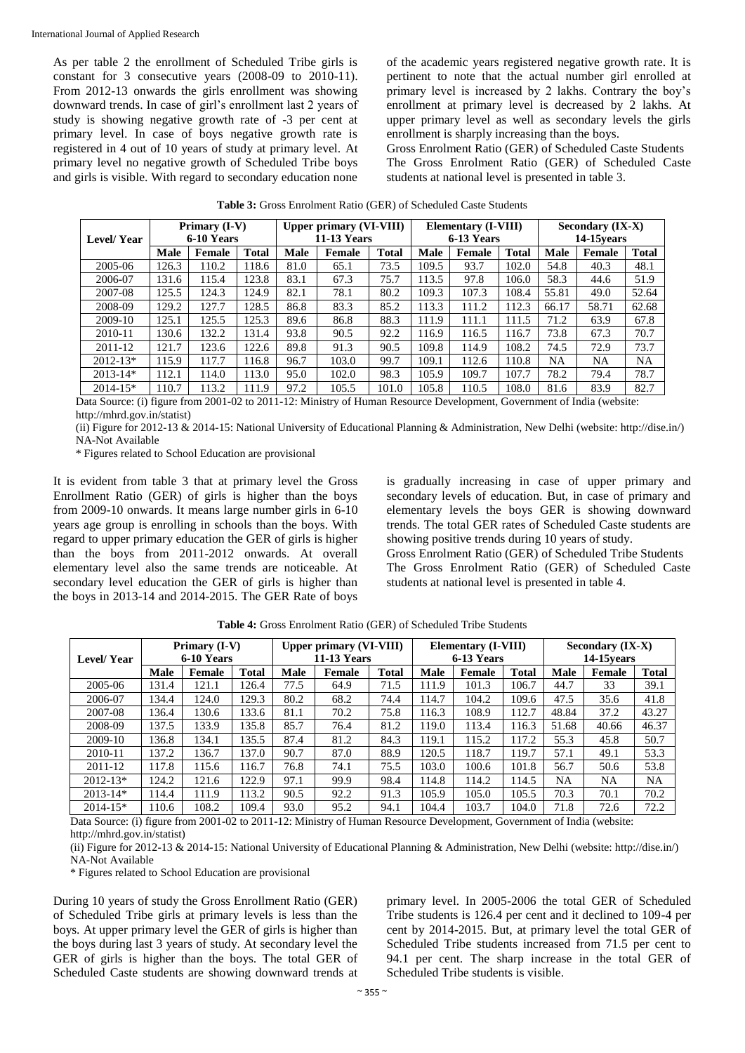As per table 2 the enrollment of Scheduled Tribe girls is constant for 3 consecutive years (2008-09 to 2010-11). From 2012-13 onwards the girls enrollment was showing downward trends. In case of girl's enrollment last 2 years of study is showing negative growth rate of -3 per cent at primary level. In case of boys negative growth rate is registered in 4 out of 10 years of study at primary level. At primary level no negative growth of Scheduled Tribe boys and girls is visible. With regard to secondary education none

of the academic years registered negative growth rate. It is pertinent to note that the actual number girl enrolled at primary level is increased by 2 lakhs. Contrary the boy's enrollment at primary level is decreased by 2 lakhs. At upper primary level as well as secondary levels the girls enrollment is sharply increasing than the boys.

Gross Enrolment Ratio (GER) of Scheduled Caste Students The Gross Enrolment Ratio (GER) of Scheduled Caste students at national level is presented in table 3.

| Level/Year   | Primary (I-V)<br>6-10 Years |        |              | <b>Upper primary (VI-VIII)</b><br><b>11-13 Years</b> |        | <b>Elementary (I-VIII)</b><br>6-13 Years |       |               | Secondary (IX-X)<br>14-15 vears |       |               |              |
|--------------|-----------------------------|--------|--------------|------------------------------------------------------|--------|------------------------------------------|-------|---------------|---------------------------------|-------|---------------|--------------|
|              | Male                        | Female | <b>Total</b> | <b>Male</b>                                          | Female | <b>Total</b>                             | Male  | <b>Female</b> | <b>Total</b>                    | Male  | <b>Female</b> | <b>Total</b> |
| 2005-06      | 126.3                       | 110.2  | 118.6        | 81.0                                                 | 65.1   | 73.5                                     | 109.5 | 93.7          | 102.0                           | 54.8  | 40.3          | 48.1         |
| 2006-07      | 131.6                       | 115.4  | 123.8        | 83.1                                                 | 67.3   | 75.7                                     | 113.5 | 97.8          | 106.0                           | 58.3  | 44.6          | 51.9         |
| 2007-08      | 125.5                       | 124.3  | 124.9        | 82.1                                                 | 78.1   | 80.2                                     | 109.3 | 107.3         | 108.4                           | 55.81 | 49.0          | 52.64        |
| 2008-09      | 129.2                       | 127.7  | 128.5        | 86.8                                                 | 83.3   | 85.2                                     | 113.3 | 111.2         | 112.3                           | 66.17 | 58.71         | 62.68        |
| 2009-10      | 125.1                       | 125.5  | 125.3        | 89.6                                                 | 86.8   | 88.3                                     | 111.9 | 111.1         | 111.5                           | 71.2  | 63.9          | 67.8         |
| 2010-11      | 130.6                       | 132.2  | 131.4        | 93.8                                                 | 90.5   | 92.2                                     | 116.9 | 116.5         | 116.7                           | 73.8  | 67.3          | 70.7         |
| 2011-12      | 121.7                       | 123.6  | 122.6        | 89.8                                                 | 91.3   | 90.5                                     | 109.8 | 114.9         | 108.2                           | 74.5  | 72.9          | 73.7         |
| $2012 - 13*$ | 115.9                       | 117.7  | 116.8        | 96.7                                                 | 103.0  | 99.7                                     | 109.1 | 112.6         | 110.8                           | NA    | NA            | <b>NA</b>    |
| $2013 - 14*$ | 112.1                       | 114.0  | 113.0        | 95.0                                                 | 102.0  | 98.3                                     | 105.9 | 109.7         | 107.7                           | 78.2  | 79.4          | 78.7         |
| $2014 - 15*$ | 110.7                       | 113.2  | 111.9        | 97.2                                                 | 105.5  | 101.0                                    | 105.8 | 110.5         | 108.0                           | 81.6  | 83.9          | 82.7         |

Data Source: (i) figure from 2001-02 to 2011-12: Ministry of Human Resource Development, Government of India (website: http://mhrd.gov.in/statist)

(ii) Figure for 2012-13 & 2014-15: National University of Educational Planning & Administration, New Delhi (website: http://dise.in/) NA-Not Available

\* Figures related to School Education are provisional

It is evident from table 3 that at primary level the Gross Enrollment Ratio (GER) of girls is higher than the boys from 2009-10 onwards. It means large number girls in 6-10 years age group is enrolling in schools than the boys. With regard to upper primary education the GER of girls is higher than the boys from 2011-2012 onwards. At overall elementary level also the same trends are noticeable. At secondary level education the GER of girls is higher than the boys in 2013-14 and 2014-2015. The GER Rate of boys

is gradually increasing in case of upper primary and secondary levels of education. But, in case of primary and elementary levels the boys GER is showing downward trends. The total GER rates of Scheduled Caste students are showing positive trends during 10 years of study.

Gross Enrolment Ratio (GER) of Scheduled Tribe Students The Gross Enrolment Ratio (GER) of Scheduled Caste students at national level is presented in table 4.

|              | Primary (I-V) |        |              | <b>Upper primary (VI-VIII)</b> |        |              | <b>Elementary (I-VIII)</b> |        |              | Secondary (IX-X) |               |              |
|--------------|---------------|--------|--------------|--------------------------------|--------|--------------|----------------------------|--------|--------------|------------------|---------------|--------------|
| Level/Year   | 6-10 Years    |        |              | <b>11-13 Years</b>             |        |              | 6-13 Years                 |        |              | 14-15 vears      |               |              |
|              | Male          | Female | <b>Total</b> | Male                           | Female | <b>Total</b> | <b>Male</b>                | Female | <b>Total</b> | Male             | <b>Female</b> | <b>Total</b> |
| 2005-06      | 131.4         | 121.1  | 126.4        | 77.5                           | 64.9   | 71.5         | 111.9                      | 101.3  | 106.7        | 44.7             | 33            | 39.1         |
| 2006-07      | 134.4         | 124.0  | 129.3        | 80.2                           | 68.2   | 74.4         | 114.7                      | 104.2  | 109.6        | 47.5             | 35.6          | 41.8         |
| 2007-08      | 136.4         | 130.6  | 133.6        | 81.1                           | 70.2   | 75.8         | 116.3                      | 108.9  | 112.7        | 48.84            | 37.2          | 43.27        |
| 2008-09      | 137.5         | 133.9  | 135.8        | 85.7                           | 76.4   | 81.2         | 119.0                      | 113.4  | 116.3        | 51.68            | 40.66         | 46.37        |
| 2009-10      | 136.8         | 134.1  | 135.5        | 87.4                           | 81.2   | 84.3         | 119.1                      | 115.2  | 117.2        | 55.3             | 45.8          | 50.7         |
| 2010-11      | 137.2         | 136.7  | 137.0        | 90.7                           | 87.0   | 88.9         | 120.5                      | 118.7  | 119.7        | 57.1             | 49.1          | 53.3         |
| 2011-12      | 117.8         | 115.6  | 116.7        | 76.8                           | 74.1   | 75.5         | 103.0                      | 100.6  | 101.8        | 56.7             | 50.6          | 53.8         |
| $2012 - 13*$ | 124.2         | 121.6  | 122.9        | 97.1                           | 99.9   | 98.4         | 114.8                      | 114.2  | 114.5        | NA               | NA            | <b>NA</b>    |
| $2013 - 14*$ | 114.4         | 111.9  | 113.2        | 90.5                           | 92.2   | 91.3         | 105.9                      | 105.0  | 105.5        | 70.3             | 70.1          | 70.2         |
| $2014 - 15*$ | 110.6         | 108.2  | 109.4        | 93.0                           | 95.2   | 94.1         | 104.4                      | 103.7  | 104.0        | 71.8             | 72.6          | 72.2         |

**Table 4:** Gross Enrolment Ratio (GER) of Scheduled Tribe Students

Data Source: (i) figure from 2001-02 to 2011-12: Ministry of Human Resource Development, Government of India (website: http://mhrd.gov.in/statist)

(ii) Figure for 2012-13 & 2014-15: National University of Educational Planning & Administration, New Delhi (website: http://dise.in/) NA-Not Available

\* Figures related to School Education are provisional

During 10 years of study the Gross Enrollment Ratio (GER) of Scheduled Tribe girls at primary levels is less than the boys. At upper primary level the GER of girls is higher than the boys during last 3 years of study. At secondary level the GER of girls is higher than the boys. The total GER of Scheduled Caste students are showing downward trends at

primary level. In 2005-2006 the total GER of Scheduled Tribe students is 126.4 per cent and it declined to 109-4 per cent by 2014-2015. But, at primary level the total GER of Scheduled Tribe students increased from 71.5 per cent to 94.1 per cent. The sharp increase in the total GER of Scheduled Tribe students is visible.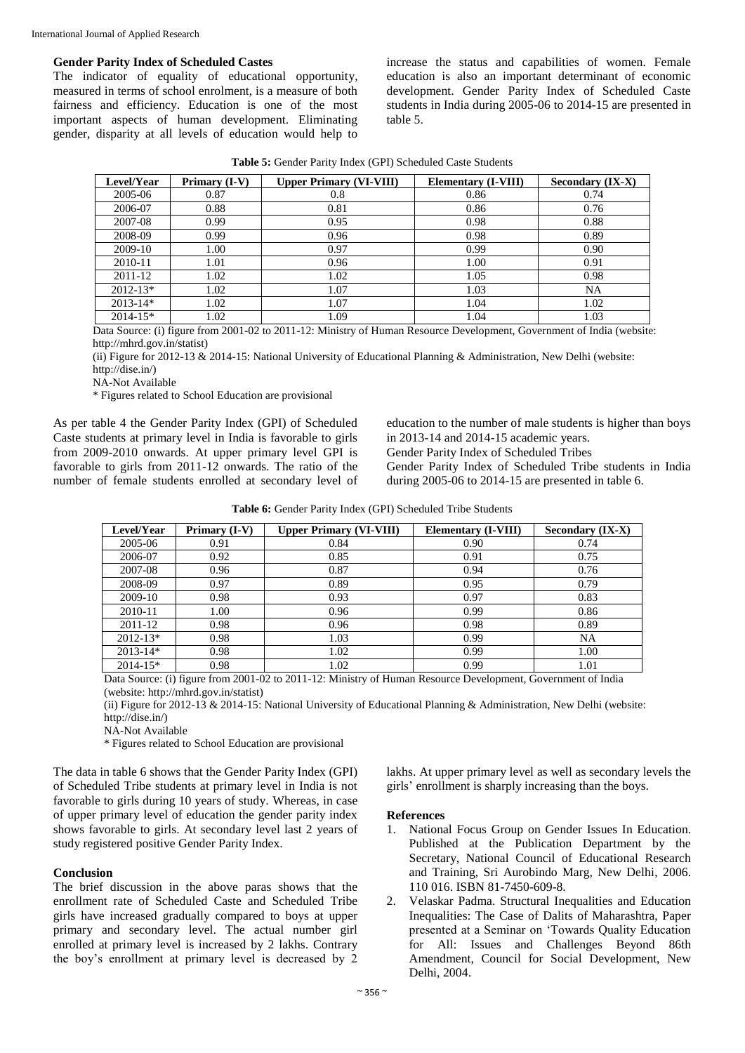### **Gender Parity Index of Scheduled Castes**

The indicator of equality of educational opportunity, measured in terms of school enrolment, is a measure of both fairness and efficiency. Education is one of the most important aspects of human development. Eliminating gender, disparity at all levels of education would help to increase the status and capabilities of women. Female education is also an important determinant of economic development. Gender Parity Index of Scheduled Caste students in India during 2005-06 to 2014-15 are presented in table 5.

| Table 5: Gender Parity Index (GPI) Scheduled Caste Students |  |  |  |
|-------------------------------------------------------------|--|--|--|
|-------------------------------------------------------------|--|--|--|

| Level/Year   | Primary (I-V) | <b>Upper Primary (VI-VIII)</b> | <b>Elementary (I-VIII)</b> | Secondary (IX-X) |
|--------------|---------------|--------------------------------|----------------------------|------------------|
| 2005-06      | 0.87          | 0.8                            | 0.86                       | 0.74             |
| 2006-07      | 0.88          | 0.81                           | 0.86                       | 0.76             |
| 2007-08      | 0.99          | 0.95                           | 0.98                       | 0.88             |
| 2008-09      | 0.99          | 0.96                           | 0.98                       | 0.89             |
| 2009-10      | 1.00          | 0.97                           | 0.99                       | 0.90             |
| 2010-11      | 1.01          | 0.96                           | 1.00                       | 0.91             |
| $2011 - 12$  | 1.02          | 1.02                           | 1.05                       | 0.98             |
| $2012 - 13*$ | 1.02          | 1.07                           | 1.03                       | <b>NA</b>        |
| $2013 - 14*$ | 1.02          | 1.07                           | 1.04                       | 1.02             |
| $2014 - 15*$ | 1.02          | 1.09                           | 1.04                       | 1.03             |

Data Source: (i) figure from 2001-02 to 2011-12: Ministry of Human Resource Development, Government of India (website: http://mhrd.gov.in/statist)

(ii) Figure for 2012-13 & 2014-15: National University of Educational Planning & Administration, New Delhi (website: http://dise.in/)

NA-Not Available

\* Figures related to School Education are provisional

As per table 4 the Gender Parity Index (GPI) of Scheduled Caste students at primary level in India is favorable to girls from 2009-2010 onwards. At upper primary level GPI is favorable to girls from 2011-12 onwards. The ratio of the number of female students enrolled at secondary level of education to the number of male students is higher than boys in 2013-14 and 2014-15 academic years.

Gender Parity Index of Scheduled Tribes

Gender Parity Index of Scheduled Tribe students in India during 2005-06 to 2014-15 are presented in table 6.

| <b>Level/Year</b> | Primary (I-V) | <b>Upper Primary (VI-VIII)</b> | Elementary (I-VIII) | Secondary (IX-X) |
|-------------------|---------------|--------------------------------|---------------------|------------------|
| 2005-06           | 0.91          | 0.84                           | 0.90                | 0.74             |
| 2006-07           | 0.92          | 0.85                           | 0.91                | 0.75             |
| 2007-08           | 0.96          | 0.87                           | 0.94                | 0.76             |
| 2008-09           | 0.97          | 0.89                           | 0.95                | 0.79             |
| 2009-10           | 0.98          | 0.93                           | 0.97                | 0.83             |
| 2010-11           | 1.00          | 0.96                           | 0.99                | 0.86             |
| 2011-12           | 0.98          | 0.96                           | 0.98                | 0.89             |
| $2012 - 13*$      | 0.98          | 1.03                           | 0.99                | <b>NA</b>        |
| $2013 - 14*$      | 0.98          | 1.02                           | 0.99                | 1.00             |
| $2014 - 15*$      | 0.98          | 1.02                           | 0.99                | 1.01             |

Data Source: (i) figure from 2001-02 to 2011-12: Ministry of Human Resource Development, Government of India (website: http://mhrd.gov.in/statist)

(ii) Figure for 2012-13 & 2014-15: National University of Educational Planning & Administration, New Delhi (website: http://dise.in/)

NA-Not Available

\* Figures related to School Education are provisional

The data in table 6 shows that the Gender Parity Index (GPI) of Scheduled Tribe students at primary level in India is not favorable to girls during 10 years of study. Whereas, in case of upper primary level of education the gender parity index shows favorable to girls. At secondary level last 2 years of study registered positive Gender Parity Index.

#### **Conclusion**

The brief discussion in the above paras shows that the enrollment rate of Scheduled Caste and Scheduled Tribe girls have increased gradually compared to boys at upper primary and secondary level. The actual number girl enrolled at primary level is increased by 2 lakhs. Contrary the boy's enrollment at primary level is decreased by 2

lakhs. At upper primary level as well as secondary levels the girls' enrollment is sharply increasing than the boys.

#### **References**

- 1. National Focus Group on Gender Issues In Education. Published at the Publication Department by the Secretary, National Council of Educational Research and Training, Sri Aurobindo Marg, New Delhi, 2006. 110 016. ISBN 81-7450-609-8.
- 2. Velaskar Padma. Structural Inequalities and Education Inequalities: The Case of Dalits of Maharashtra, Paper presented at a Seminar on 'Towards Quality Education for All: Issues and Challenges Beyond 86th Amendment, Council for Social Development, New Delhi, 2004.